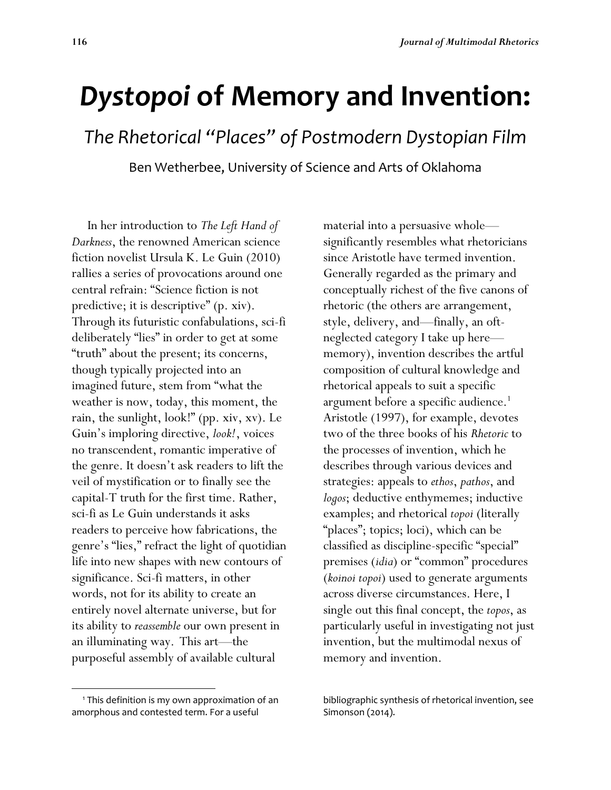# *Dystopoi* **of Memory and Invention:**

*The Rhetorical "Places" of Postmodern Dystopian Film*

Ben Wetherbee, University of Science and Arts of Oklahoma

 In her introduction to *The Left Hand of Darkness*, the renowned American science fiction novelist Ursula K. Le Guin (2010) rallies a series of provocations around one central refrain: "Science fiction is not predictive; it is descriptive" (p. xiv). Through its futuristic confabulations, sci-fi deliberately "lies" in order to get at some "truth" about the present; its concerns, though typically projected into an imagined future, stem from "what the weather is now, today, this moment, the rain, the sunlight, look!" (pp. xiv, xv). Le Guin's imploring directive, *look!*, voices no transcendent, romantic imperative of the genre. It doesn't ask readers to lift the veil of mystification or to finally see the capital-T truth for the first time. Rather, sci-fi as Le Guin understands it asks readers to perceive how fabrications, the genre's "lies," refract the light of quotidian life into new shapes with new contours of significance. Sci-fi matters, in other words, not for its ability to create an entirely novel alternate universe, but for its ability to *reassemble* our own present in an illuminating way. This art—the purposeful assembly of available cultural

 $\overline{\phantom{a}}$ 

material into a persuasive whole significantly resembles what rhetoricians since Aristotle have termed invention. Generally regarded as the primary and conceptually richest of the five canons of rhetoric (the others are arrangement, style, delivery, and—finally, an oftneglected category I take up here memory), invention describes the artful composition of cultural knowledge and rhetorical appeals to suit a specific argument before a specific audience.<sup>1</sup> Aristotle (1997), for example, devotes two of the three books of his *Rhetoric* to the processes of invention, which he describes through various devices and strategies: appeals to *ethos*, *pathos*, and *logos*; deductive enthymemes; inductive examples; and rhetorical *topoi* (literally "places"; topics; loci), which can be classified as discipline-specific "special" premises (*idia*) or "common" procedures (*koinoi topoi*) used to generate arguments across diverse circumstances. Here, I single out this final concept, the *topos*, as particularly useful in investigating not just invention, but the multimodal nexus of memory and invention.

<sup>&</sup>lt;sup>1</sup> This definition is my own approximation of an amorphous and contested term. For a useful

bibliographic synthesis of rhetorical invention, see Simonson (2014).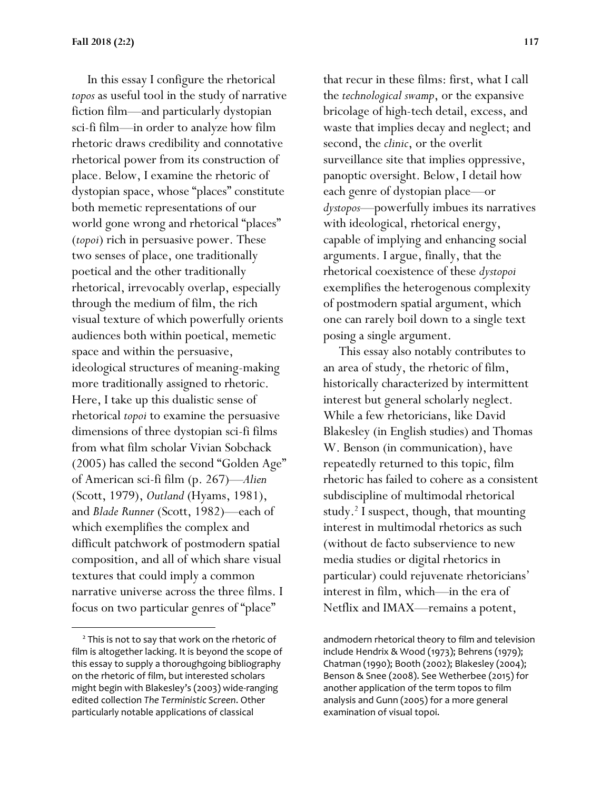In this essay I configure the rhetorical *topos* as useful tool in the study of narrative fiction film—and particularly dystopian sci-fi film—in order to analyze how film rhetoric draws credibility and connotative rhetorical power from its construction of place. Below, I examine the rhetoric of dystopian space, whose "places" constitute both memetic representations of our world gone wrong and rhetorical "places" (*topoi*) rich in persuasive power. These two senses of place, one traditionally poetical and the other traditionally rhetorical, irrevocably overlap, especially through the medium of film, the rich visual texture of which powerfully orients audiences both within poetical, memetic space and within the persuasive, ideological structures of meaning-making more traditionally assigned to rhetoric. Here, I take up this dualistic sense of rhetorical *topoi* to examine the persuasive dimensions of three dystopian sci-fi films from what film scholar Vivian Sobchack (2005) has called the second "Golden Age" of American sci-fi film (p. 267)—*Alien*  (Scott, 1979), *Outland* (Hyams, 1981), and *Blade Runner* (Scott, 1982)—each of which exemplifies the complex and difficult patchwork of postmodern spatial composition, and all of which share visual textures that could imply a common narrative universe across the three films. I focus on two particular genres of "place"

 $\overline{\phantom{a}}$ 

that recur in these films: first, what I call the *technological swamp*, or the expansive bricolage of high-tech detail, excess, and waste that implies decay and neglect; and second, the *clinic*, or the overlit surveillance site that implies oppressive, panoptic oversight. Below, I detail how each genre of dystopian place—or *dystopos*—powerfully imbues its narratives with ideological, rhetorical energy, capable of implying and enhancing social arguments. I argue, finally, that the rhetorical coexistence of these *dystopoi*  exemplifies the heterogenous complexity of postmodern spatial argument, which one can rarely boil down to a single text posing a single argument.

 This essay also notably contributes to an area of study, the rhetoric of film, historically characterized by intermittent interest but general scholarly neglect. While a few rhetoricians, like David Blakesley (in English studies) and Thomas W. Benson (in communication), have repeatedly returned to this topic, film rhetoric has failed to cohere as a consistent subdiscipline of multimodal rhetorical study.<sup>2</sup> I suspect, though, that mounting interest in multimodal rhetorics as such (without de facto subservience to new media studies or digital rhetorics in particular) could rejuvenate rhetoricians' interest in film, which—in the era of Netflix and IMAX—remains a potent,

 $2$  This is not to say that work on the rhetoric of film is altogether lacking. It is beyond the scope of this essay to supply a thoroughgoing bibliography on the rhetoric of film, but interested scholars might begin with Blakesley's (2003) wide-ranging edited collection *The Terministic Screen*. Other particularly notable applications of classical

andmodern rhetorical theory to film and television include Hendrix & Wood (1973); Behrens (1979); Chatman (1990); Booth (2002); Blakesley (2004); Benson & Snee (2008). See Wetherbee (2015) for another application of the term topos to film analysis and Gunn (2005) for a more general examination of visual topoi.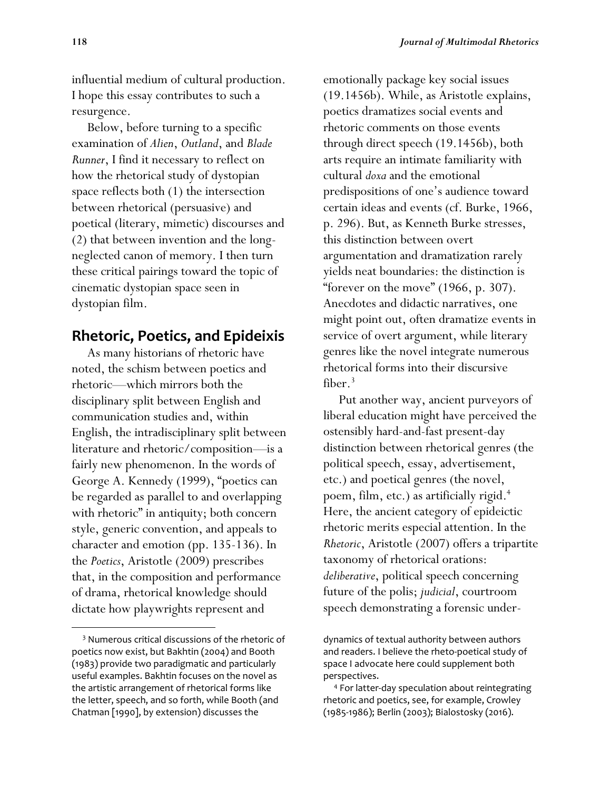influential medium of cultural production. I hope this essay contributes to such a resurgence.

 Below, before turning to a specific examination of *Alien*, *Outland*, and *Blade Runner*, I find it necessary to reflect on how the rhetorical study of dystopian space reflects both (1) the intersection between rhetorical (persuasive) and poetical (literary, mimetic) discourses and (2) that between invention and the longneglected canon of memory. I then turn these critical pairings toward the topic of cinematic dystopian space seen in dystopian film.

# **Rhetoric, Poetics, and Epideixis**

 As many historians of rhetoric have noted, the schism between poetics and rhetoric—which mirrors both the disciplinary split between English and communication studies and, within English, the intradisciplinary split between literature and rhetoric/composition—is a fairly new phenomenon. In the words of George A. Kennedy (1999), "poetics can be regarded as parallel to and overlapping with rhetoric" in antiquity; both concern style, generic convention, and appeals to character and emotion (pp. 135-136). In the *Poetics*, Aristotle (2009) prescribes that, in the composition and performance of drama, rhetorical knowledge should dictate how playwrights represent and

 $\overline{\phantom{a}}$ 

emotionally package key social issues (19.1456b). While, as Aristotle explains, poetics dramatizes social events and rhetoric comments on those events through direct speech (19.1456b), both arts require an intimate familiarity with cultural *doxa* and the emotional predispositions of one's audience toward certain ideas and events (cf. Burke, 1966, p. 296). But, as Kenneth Burke stresses, this distinction between overt argumentation and dramatization rarely yields neat boundaries: the distinction is "forever on the move"  $(1966, p. 307)$ . Anecdotes and didactic narratives, one might point out, often dramatize events in service of overt argument, while literary genres like the novel integrate numerous rhetorical forms into their discursive fiber.<sup>3</sup>

 Put another way, ancient purveyors of liberal education might have perceived the ostensibly hard-and-fast present-day distinction between rhetorical genres (the political speech, essay, advertisement, etc.) and poetical genres (the novel, poem, film, etc.) as artificially rigid. 4 Here, the ancient category of epideictic rhetoric merits especial attention. In the *Rhetoric*, Aristotle (2007) offers a tripartite taxonomy of rhetorical orations: *deliberative*, political speech concerning future of the polis; *judicial*, courtroom speech demonstrating a forensic under-

<sup>3</sup> Numerous critical discussions of the rhetoric of poetics now exist, but Bakhtin (2004) and Booth (1983) provide two paradigmatic and particularly useful examples. Bakhtin focuses on the novel as the artistic arrangement of rhetorical forms like the letter, speech, and so forth, while Booth (and Chatman [1990], by extension) discusses the

dynamics of textual authority between authors and readers. I believe the rheto-poetical study of space I advocate here could supplement both perspectives.

<sup>4</sup> For latter-day speculation about reintegrating rhetoric and poetics, see, for example, Crowley (1985-1986); Berlin (2003); Bialostosky (2016).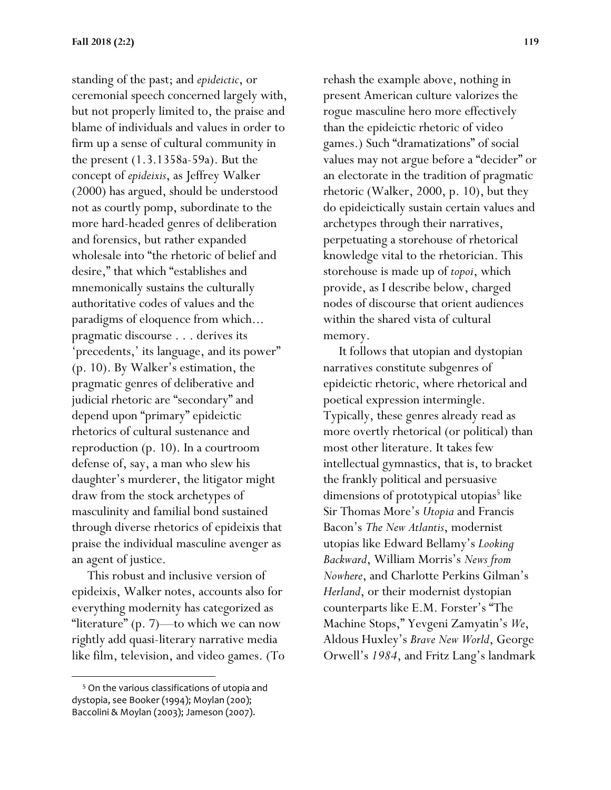standing of the past; and *epideictic*, or ceremonial speech concerned largely with, but not properly limited to, the praise and blame of individuals and values in order to firm up a sense of cultural community in the present (1.3.1358a-59a). But the concept of *epideixis*, as Jeffrey Walker (2000) has argued, should be understood not as courtly pomp, subordinate to the more hard-headed genres of deliberation and forensics, but rather expanded wholesale into "the rhetoric of belief and desire," that which "establishes and mnemonically sustains the culturally authoritative codes of values and the paradigms of eloquence from which... pragmatic discourse . . . derives its 'precedents,' its language, and its power" (p. 10). By Walker's estimation, the pragmatic genres of deliberative and judicial rhetoric are "secondary" and depend upon "primary" epideictic rhetorics of cultural sustenance and reproduction (p. 10). In a courtroom defense of, say, a man who slew his daughter's murderer, the litigator might draw from the stock archetypes of masculinity and familial bond sustained through diverse rhetorics of epideixis that praise the individual masculine avenger as an agent of justice.

 This robust and inclusive version of epideixis, Walker notes, accounts also for everything modernity has categorized as "literature" (p. 7)—to which we can now rightly add quasi-literary narrative media like film, television, and video games. (To

 $\overline{a}$ 

rehash the example above, nothing in present American culture valorizes the rogue masculine hero more effectively than the epideictic rhetoric of video games.) Such "dramatizations" of social values may not argue before a "decider" or an electorate in the tradition of pragmatic rhetoric (Walker, 2000, p. 10), but they do epideictically sustain certain values and archetypes through their narratives, perpetuating a storehouse of rhetorical knowledge vital to the rhetorician. This storehouse is made up of *topoi*, which provide, as I describe below, charged nodes of discourse that orient audiences within the shared vista of cultural memory.

 It follows that utopian and dystopian narratives constitute subgenres of epideictic rhetoric, where rhetorical and poetical expression intermingle. Typically, these genres already read as more overtly rhetorical (or political) than most other literature. It takes few intellectual gymnastics, that is, to bracket the frankly political and persuasive dimensions of prototypical utopias<sup>5</sup> like Sir Thomas More's *Utopia* and Francis Bacon's *The New Atlantis*, modernist utopias like Edward Bellamy's *Looking Backward*, William Morris's *News from Nowhere*, and Charlotte Perkins Gilman's *Herland*, or their modernist dystopian counterparts like E.M. Forster's "The Machine Stops," Yevgeni Zamyatin's *We*, Aldous Huxley's *Brave New World*, George Orwell's *1984*, and Fritz Lang's landmark

<sup>5</sup> On the various classifications of utopia and dystopia, see Booker (1994); Moylan (200); Baccolini & Moylan (2003); Jameson (2007).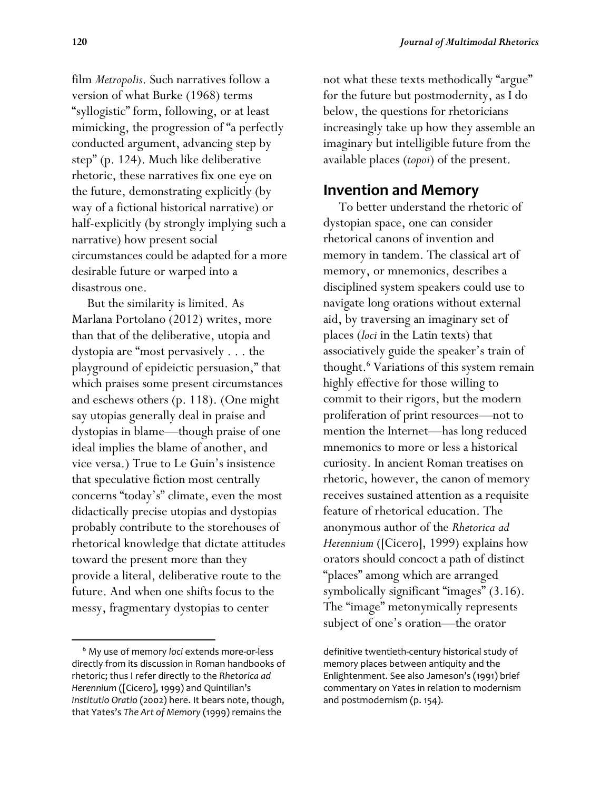film *Metropolis*. Such narratives follow a version of what Burke (1968) terms "syllogistic" form, following, or at least mimicking, the progression of "a perfectly conducted argument, advancing step by step" (p. 124). Much like deliberative rhetoric, these narratives fix one eye on the future, demonstrating explicitly (by way of a fictional historical narrative) or half-explicitly (by strongly implying such a narrative) how present social circumstances could be adapted for a more desirable future or warped into a disastrous one.

 But the similarity is limited. As Marlana Portolano (2012) writes, more than that of the deliberative, utopia and dystopia are "most pervasively . . . the playground of epideictic persuasion," that which praises some present circumstances and eschews others (p. 118). (One might say utopias generally deal in praise and dystopias in blame—though praise of one ideal implies the blame of another, and vice versa.) True to Le Guin's insistence that speculative fiction most centrally concerns "today's" climate, even the most didactically precise utopias and dystopias probably contribute to the storehouses of rhetorical knowledge that dictate attitudes toward the present more than they provide a literal, deliberative route to the future. And when one shifts focus to the messy, fragmentary dystopias to center

l

not what these texts methodically "argue" for the future but postmodernity, as I do below, the questions for rhetoricians increasingly take up how they assemble an imaginary but intelligible future from the available places (*topoi*) of the present.

## **Invention and Memory**

 To better understand the rhetoric of dystopian space, one can consider rhetorical canons of invention and memory in tandem. The classical art of memory, or mnemonics, describes a disciplined system speakers could use to navigate long orations without external aid, by traversing an imaginary set of places (*loci* in the Latin texts) that associatively guide the speaker's train of thought.<sup>6</sup> Variations of this system remain highly effective for those willing to commit to their rigors, but the modern proliferation of print resources—not to mention the Internet—has long reduced mnemonics to more or less a historical curiosity. In ancient Roman treatises on rhetoric, however, the canon of memory receives sustained attention as a requisite feature of rhetorical education. The anonymous author of the *Rhetorica ad Herennium* ([Cicero], 1999) explains how orators should concoct a path of distinct "places" among which are arranged symbolically significant "images" (3.16). The "image" metonymically represents subject of one's oration—the orator

<sup>6</sup> My use of memory *loci* extends more-or-less directly from its discussion in Roman handbooks of rhetoric; thus I refer directly to the *Rhetorica ad Herennium* ([Cicero], 1999) and Quintilian's *Institutio Oratio* (2002) here. It bears note, though, that Yates's *The Art of Memory* (1999) remains the

definitive twentieth-century historical study of memory places between antiquity and the Enlightenment. See also Jameson's (1991) brief commentary on Yates in relation to modernism and postmodernism (p. 154).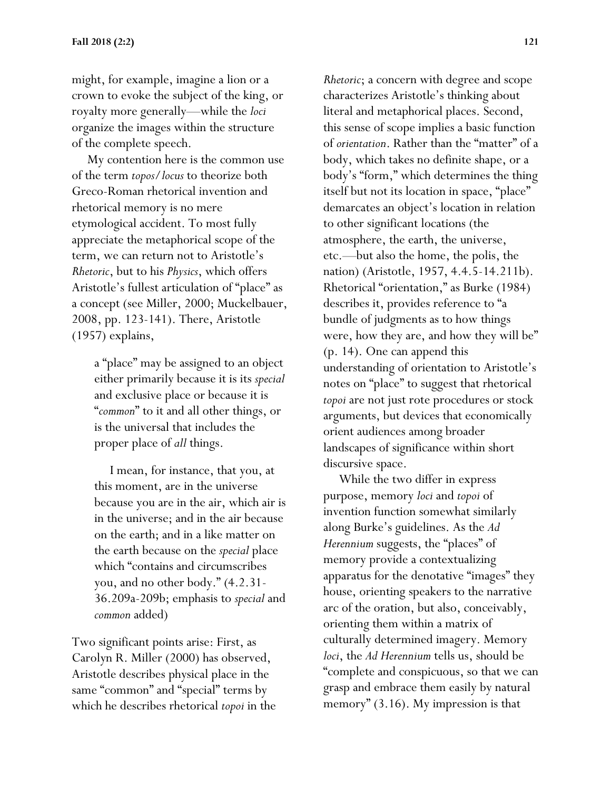might, for example, imagine a lion or a crown to evoke the subject of the king, or royalty more generally—while the *loci*  organize the images within the structure of the complete speech.

 My contention here is the common use of the term *topos*/*locus* to theorize both Greco-Roman rhetorical invention and rhetorical memory is no mere etymological accident. To most fully appreciate the metaphorical scope of the term, we can return not to Aristotle's *Rhetoric*, but to his *Physics*, which offers Aristotle's fullest articulation of "place" as a concept (see Miller, 2000; Muckelbauer, 2008, pp. 123-141). There, Aristotle (1957) explains,

> a "place" may be assigned to an object either primarily because it is its *special*  and exclusive place or because it is "*common*" to it and all other things, or is the universal that includes the proper place of *all* things.

> I mean, for instance, that you, at this moment, are in the universe because you are in the air, which air is in the universe; and in the air because on the earth; and in a like matter on the earth because on the *special* place which "contains and circumscribes you, and no other body." (4.2.31- 36.209a-209b; emphasis to *special* and *common* added)

Two significant points arise: First, as Carolyn R. Miller (2000) has observed, Aristotle describes physical place in the same "common" and "special" terms by which he describes rhetorical *topoi* in the *Rhetoric*; a concern with degree and scope characterizes Aristotle's thinking about literal and metaphorical places. Second, this sense of scope implies a basic function of *orientation*. Rather than the "matter" of a body, which takes no definite shape, or a body's "form," which determines the thing itself but not its location in space, "place" demarcates an object's location in relation to other significant locations (the atmosphere, the earth, the universe, etc.—but also the home, the polis, the nation) (Aristotle, 1957, 4.4.5-14.211b). Rhetorical "orientation," as Burke (1984) describes it, provides reference to "a bundle of judgments as to how things were, how they are, and how they will be" (p. 14). One can append this understanding of orientation to Aristotle's notes on "place" to suggest that rhetorical *topoi* are not just rote procedures or stock arguments, but devices that economically orient audiences among broader landscapes of significance within short discursive space.

 While the two differ in express purpose, memory *loci* and *topoi* of invention function somewhat similarly along Burke's guidelines. As the *Ad Herennium* suggests, the "places" of memory provide a contextualizing apparatus for the denotative "images" they house, orienting speakers to the narrative arc of the oration, but also, conceivably, orienting them within a matrix of culturally determined imagery. Memory *loci*, the *Ad Herennium* tells us, should be "complete and conspicuous, so that we can grasp and embrace them easily by natural memory" (3.16). My impression is that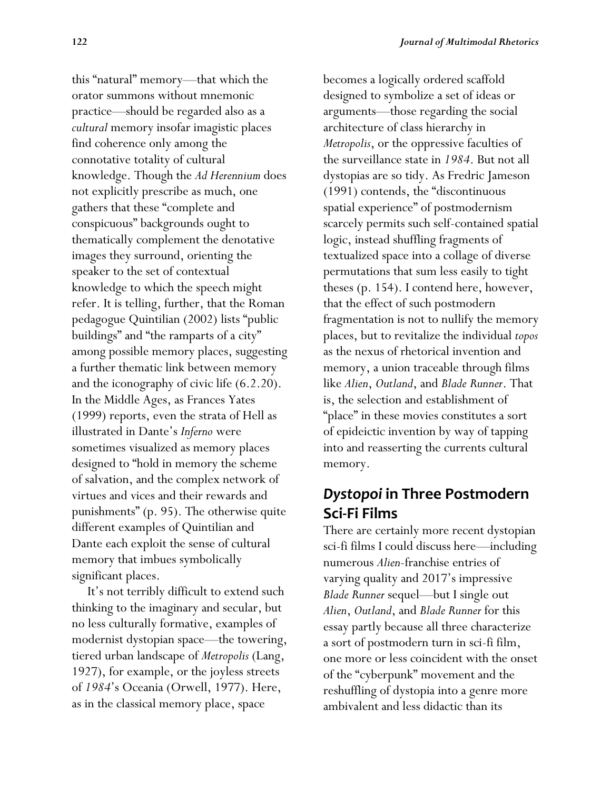this "natural" memory—that which the orator summons without mnemonic practice—should be regarded also as a *cultural* memory insofar imagistic places find coherence only among the connotative totality of cultural knowledge. Though the *Ad Herennium* does not explicitly prescribe as much, one gathers that these "complete and conspicuous" backgrounds ought to thematically complement the denotative images they surround, orienting the speaker to the set of contextual knowledge to which the speech might refer. It is telling, further, that the Roman pedagogue Quintilian (2002) lists "public buildings" and "the ramparts of a city" among possible memory places, suggesting a further thematic link between memory and the iconography of civic life (6.2.20). In the Middle Ages, as Frances Yates (1999) reports, even the strata of Hell as illustrated in Dante's *Inferno* were sometimes visualized as memory places designed to "hold in memory the scheme of salvation, and the complex network of virtues and vices and their rewards and punishments" (p. 95). The otherwise quite different examples of Quintilian and Dante each exploit the sense of cultural memory that imbues symbolically significant places.

 It's not terribly difficult to extend such thinking to the imaginary and secular, but no less culturally formative, examples of modernist dystopian space—the towering, tiered urban landscape of *Metropolis* (Lang, 1927), for example, or the joyless streets of *1984*'s Oceania (Orwell, 1977). Here, as in the classical memory place, space

becomes a logically ordered scaffold designed to symbolize a set of ideas or arguments—those regarding the social architecture of class hierarchy in *Metropolis*, or the oppressive faculties of the surveillance state in *1984*. But not all dystopias are so tidy. As Fredric Jameson (1991) contends, the "discontinuous spatial experience" of postmodernism scarcely permits such self-contained spatial logic, instead shuffling fragments of textualized space into a collage of diverse permutations that sum less easily to tight theses (p. 154). I contend here, however, that the effect of such postmodern fragmentation is not to nullify the memory places, but to revitalize the individual *topos* as the nexus of rhetorical invention and memory, a union traceable through films like *Alien*, *Outland*, and *Blade Runner*. That is, the selection and establishment of "place" in these movies constitutes a sort of epideictic invention by way of tapping into and reasserting the currents cultural memory.

# *Dystopoi* **in Three Postmodern Sci-Fi Films**

There are certainly more recent dystopian sci-fi films I could discuss here—including numerous *Alien*-franchise entries of varying quality and 2017's impressive *Blade Runner* sequel—but I single out *Alien*, *Outland*, and *Blade Runner* for this essay partly because all three characterize a sort of postmodern turn in sci-fi film, one more or less coincident with the onset of the "cyberpunk" movement and the reshuffling of dystopia into a genre more ambivalent and less didactic than its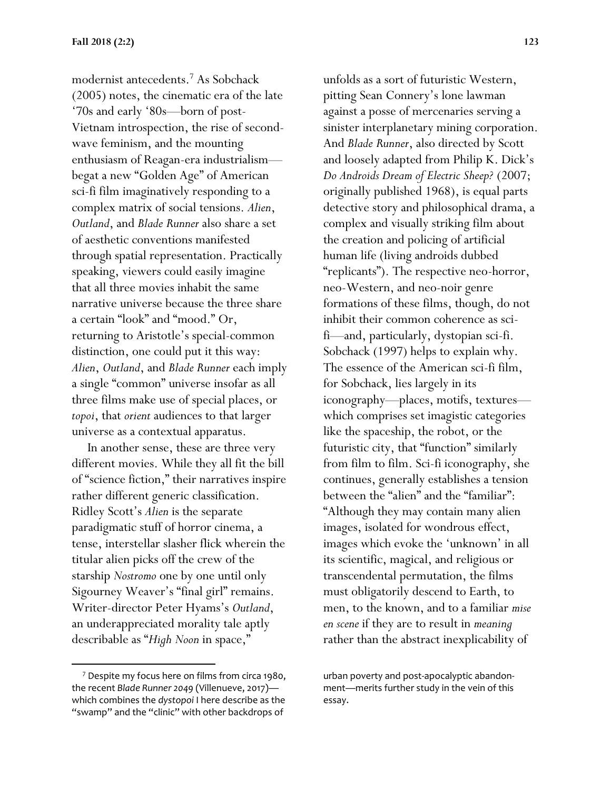modernist antecedents.<sup>7</sup> As Sobchack (2005) notes, the cinematic era of the late '70s and early '80s—born of post-Vietnam introspection, the rise of secondwave feminism, and the mounting enthusiasm of Reagan-era industrialism begat a new "Golden Age" of American sci-fi film imaginatively responding to a complex matrix of social tensions. *Alien*, *Outland*, and *Blade Runner* also share a set of aesthetic conventions manifested through spatial representation. Practically speaking, viewers could easily imagine that all three movies inhabit the same narrative universe because the three share a certain "look" and "mood." Or, returning to Aristotle's special-common distinction, one could put it this way: *Alien*, *Outland*, and *Blade Runner* each imply a single "common" universe insofar as all three films make use of special places, or *topoi*, that *orient* audiences to that larger universe as a contextual apparatus.

 In another sense, these are three very different movies. While they all fit the bill of "science fiction," their narratives inspire rather different generic classification. Ridley Scott's *Alien* is the separate paradigmatic stuff of horror cinema, a tense, interstellar slasher flick wherein the titular alien picks off the crew of the starship *Nostromo* one by one until only Sigourney Weaver's "final girl" remains. Writer-director Peter Hyams's *Outland*, an underappreciated morality tale aptly describable as "*High Noon* in space,"

l

unfolds as a sort of futuristic Western, pitting Sean Connery's lone lawman against a posse of mercenaries serving a sinister interplanetary mining corporation. And *Blade Runner*, also directed by Scott and loosely adapted from Philip K. Dick's *Do Androids Dream of Electric Sheep?* (2007; originally published 1968), is equal parts detective story and philosophical drama, a complex and visually striking film about the creation and policing of artificial human life (living androids dubbed "replicants"). The respective neo-horror, neo-Western, and neo-noir genre formations of these films, though, do not inhibit their common coherence as scifi—and, particularly, dystopian sci-fi. Sobchack (1997) helps to explain why. The essence of the American sci-fi film, for Sobchack, lies largely in its iconography—places, motifs, textures which comprises set imagistic categories like the spaceship, the robot, or the futuristic city, that "function" similarly from film to film. Sci-fi iconography, she continues, generally establishes a tension between the "alien" and the "familiar": "Although they may contain many alien images, isolated for wondrous effect, images which evoke the 'unknown' in all its scientific, magical, and religious or transcendental permutation, the films must obligatorily descend to Earth, to men, to the known, and to a familiar *mise en scene* if they are to result in *meaning* rather than the abstract inexplicability of

<sup>7</sup> Despite my focus here on films from circa 1980, the recent *Blade Runner 2049* (Villenueve, 2017) which combines the *dystopoi* I here describe as the "swamp" and the "clinic" with other backdrops of

urban poverty and post-apocalyptic abandonment—merits further study in the vein of this essay.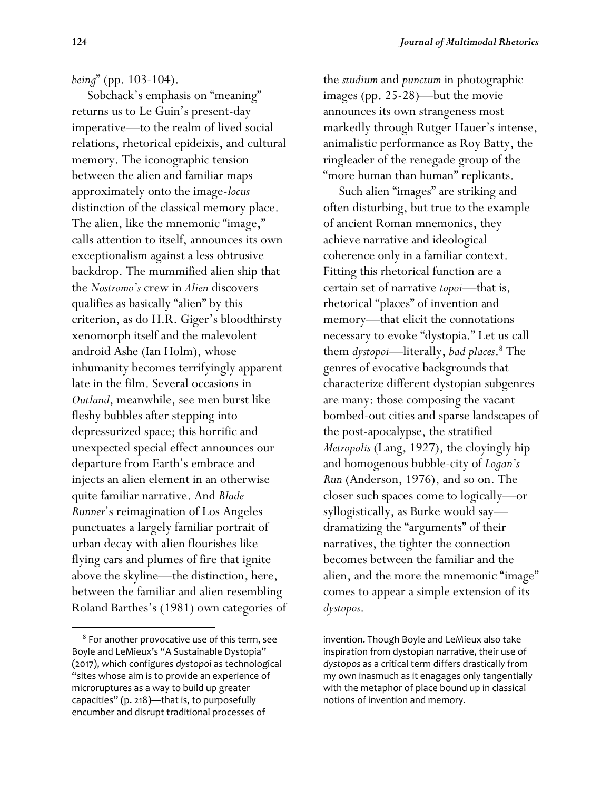#### *being*" (pp. 103-104).

 Sobchack's emphasis on "meaning" returns us to Le Guin's present-day imperative—to the realm of lived social relations, rhetorical epideixis, and cultural memory. The iconographic tension between the alien and familiar maps approximately onto the image-*locus*  distinction of the classical memory place. The alien, like the mnemonic "image," calls attention to itself, announces its own exceptionalism against a less obtrusive backdrop. The mummified alien ship that the *Nostromo's* crew in *Alien* discovers qualifies as basically "alien" by this criterion, as do H.R. Giger's bloodthirsty xenomorph itself and the malevolent android Ashe (Ian Holm), whose inhumanity becomes terrifyingly apparent late in the film. Several occasions in *Outland*, meanwhile, see men burst like fleshy bubbles after stepping into depressurized space; this horrific and unexpected special effect announces our departure from Earth's embrace and injects an alien element in an otherwise quite familiar narrative. And *Blade Runner*'s reimagination of Los Angeles punctuates a largely familiar portrait of urban decay with alien flourishes like flying cars and plumes of fire that ignite above the skyline—the distinction, here, between the familiar and alien resembling Roland Barthes's (1981) own categories of

 $\overline{\phantom{a}}$ 

the *studium* and *punctum* in photographic images (pp. 25-28)—but the movie announces its own strangeness most markedly through Rutger Hauer's intense, animalistic performance as Roy Batty, the ringleader of the renegade group of the "more human than human" replicants.

 Such alien "images" are striking and often disturbing, but true to the example of ancient Roman mnemonics, they achieve narrative and ideological coherence only in a familiar context. Fitting this rhetorical function are a certain set of narrative *topoi*—that is, rhetorical "places" of invention and memory—that elicit the connotations necessary to evoke "dystopia." Let us call them *dystopoi*—literally, *bad places*. <sup>8</sup> The genres of evocative backgrounds that characterize different dystopian subgenres are many: those composing the vacant bombed-out cities and sparse landscapes of the post-apocalypse, the stratified *Metropolis* (Lang, 1927), the cloyingly hip and homogenous bubble-city of *Logan's Run* (Anderson, 1976), and so on. The closer such spaces come to logically—or syllogistically, as Burke would say dramatizing the "arguments" of their narratives, the tighter the connection becomes between the familiar and the alien, and the more the mnemonic "image" comes to appear a simple extension of its *dystopos*.

<sup>8</sup> For another provocative use of this term, see Boyle and LeMieux's "A Sustainable Dystopia" (2017), which configures *dystopoi* as technological "sites whose aim is to provide an experience of microruptures as a way to build up greater capacities" (p. 218)—that is, to purposefully encumber and disrupt traditional processes of

invention. Though Boyle and LeMieux also take inspiration from dystopian narrative, their use of *dystopos* as a critical term differs drastically from my own inasmuch as it enagages only tangentially with the metaphor of place bound up in classical notions of invention and memory.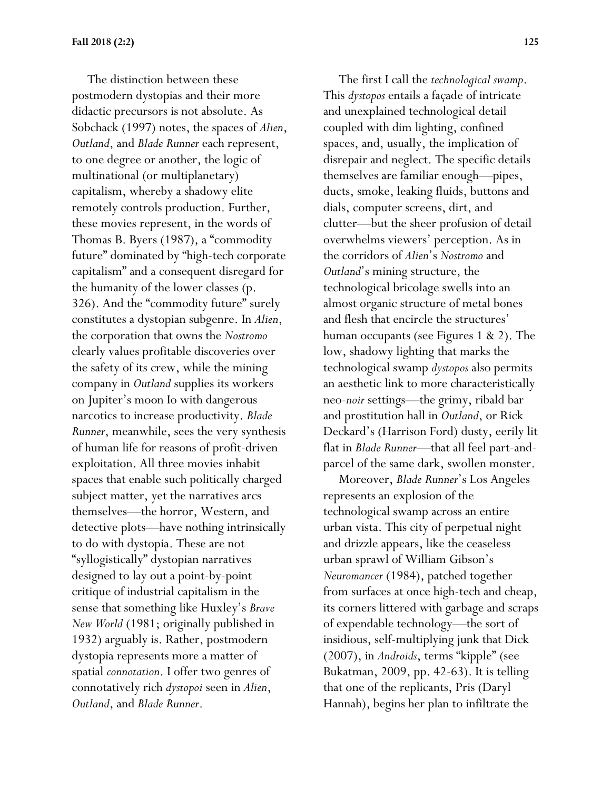The distinction between these postmodern dystopias and their more didactic precursors is not absolute. As Sobchack (1997) notes, the spaces of *Alien*, *Outland*, and *Blade Runner* each represent, to one degree or another, the logic of multinational (or multiplanetary) capitalism, whereby a shadowy elite remotely controls production. Further, these movies represent, in the words of Thomas B. Byers (1987), a "commodity future" dominated by "high-tech corporate capitalism" and a consequent disregard for the humanity of the lower classes (p. 326). And the "commodity future" surely constitutes a dystopian subgenre. In *Alien*, the corporation that owns the *Nostromo*  clearly values profitable discoveries over the safety of its crew, while the mining company in *Outland* supplies its workers on Jupiter's moon Io with dangerous narcotics to increase productivity. *Blade Runner*, meanwhile, sees the very synthesis of human life for reasons of profit-driven exploitation. All three movies inhabit spaces that enable such politically charged subject matter, yet the narratives arcs themselves—the horror, Western, and detective plots—have nothing intrinsically to do with dystopia. These are not "syllogistically" dystopian narratives designed to lay out a point-by-point critique of industrial capitalism in the sense that something like Huxley's *Brave New World* (1981; originally published in 1932) arguably is. Rather, postmodern dystopia represents more a matter of spatial *connotation*. I offer two genres of connotatively rich *dystopoi* seen in *Alien*, *Outland*, and *Blade Runner*.

 The first I call the *technological swamp*. This *dystopos* entails a façade of intricate and unexplained technological detail coupled with dim lighting, confined spaces, and, usually, the implication of disrepair and neglect. The specific details themselves are familiar enough—pipes, ducts, smoke, leaking fluids, buttons and dials, computer screens, dirt, and clutter—but the sheer profusion of detail overwhelms viewers' perception. As in the corridors of *Alien*'s *Nostromo* and *Outland*'s mining structure, the technological bricolage swells into an almost organic structure of metal bones and flesh that encircle the structures' human occupants (see Figures 1 & 2). The low, shadowy lighting that marks the technological swamp *dystopos* also permits an aesthetic link to more characteristically neo-*noir* settings—the grimy, ribald bar and prostitution hall in *Outland*, or Rick Deckard's (Harrison Ford) dusty, eerily lit flat in *Blade Runner*—that all feel part-andparcel of the same dark, swollen monster.

 Moreover, *Blade Runner*'s Los Angeles represents an explosion of the technological swamp across an entire urban vista. This city of perpetual night and drizzle appears, like the ceaseless urban sprawl of William Gibson's *Neuromancer* (1984), patched together from surfaces at once high-tech and cheap, its corners littered with garbage and scraps of expendable technology—the sort of insidious, self-multiplying junk that Dick (2007), in *Androids*, terms "kipple" (see Bukatman, 2009, pp. 42-63). It is telling that one of the replicants, Pris (Daryl Hannah), begins her plan to infiltrate the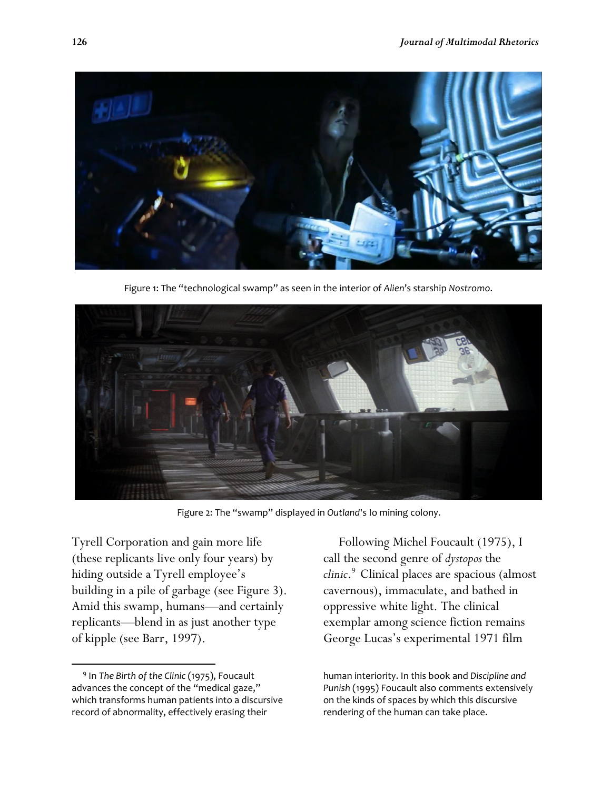

Figure 1: The "technological swamp" as seen in the interior of *Alien*'s starship *Nostromo*.



Figure 2: The "swamp" displayed in *Outland*'s Io mining colony.

Tyrell Corporation and gain more life (these replicants live only four years) by hiding outside a Tyrell employee's building in a pile of garbage (see Figure 3). Amid this swamp, humans—and certainly replicants—blend in as just another type of kipple (see Barr, 1997).

l

 Following Michel Foucault (1975), I call the second genre of *dystopos* the *clinic*. <sup>9</sup>30Clinical places are spacious (almost cavernous), immaculate, and bathed in oppressive white light. The clinical exemplar among science fiction remains George Lucas's experimental 1971 film

human interiority. In this book and *Discipline and Punish* (1995) Foucault also comments extensively on the kinds of spaces by which this discursive rendering of the human can take place.

<sup>9</sup> In *The Birth of the Clinic* (1975), Foucault advances the concept of the "medical gaze," which transforms human patients into a discursive record of abnormality, effectively erasing their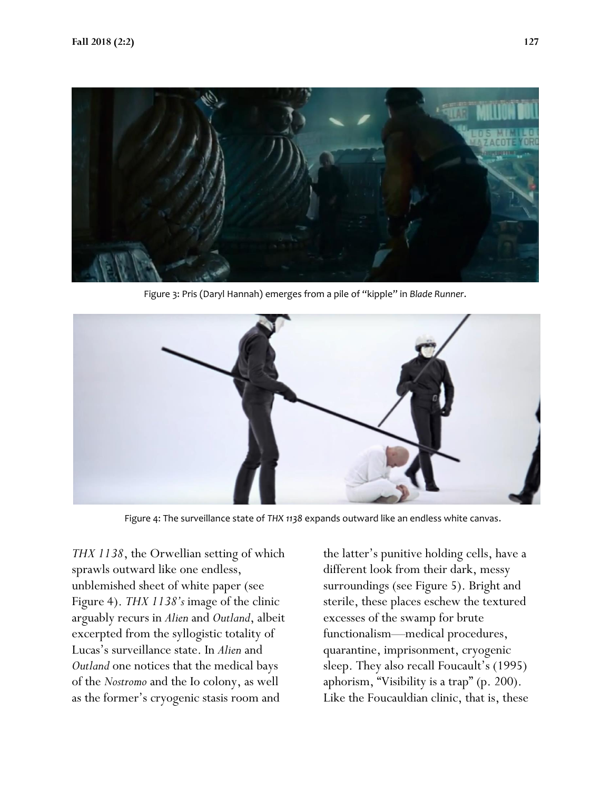

Figure 3: Pris (Daryl Hannah) emerges from a pile of "kipple" in *Blade Runner*.



Figure 4: The surveillance state of *THX 1138* expands outward like an endless white canvas.

*THX 1138*, the Orwellian setting of which sprawls outward like one endless, unblemished sheet of white paper (see Figure 4). *THX 1138's* image of the clinic arguably recurs in *Alien* and *Outland*, albeit excerpted from the syllogistic totality of Lucas's surveillance state. In *Alien* and *Outland* one notices that the medical bays of the *Nostromo* and the Io colony, as well as the former's cryogenic stasis room and

the latter's punitive holding cells, have a different look from their dark, messy surroundings (see Figure 5). Bright and sterile, these places eschew the textured excesses of the swamp for brute functionalism—medical procedures, quarantine, imprisonment, cryogenic sleep. They also recall Foucault's (1995) aphorism, "Visibility is a trap" (p. 200). Like the Foucauldian clinic, that is, these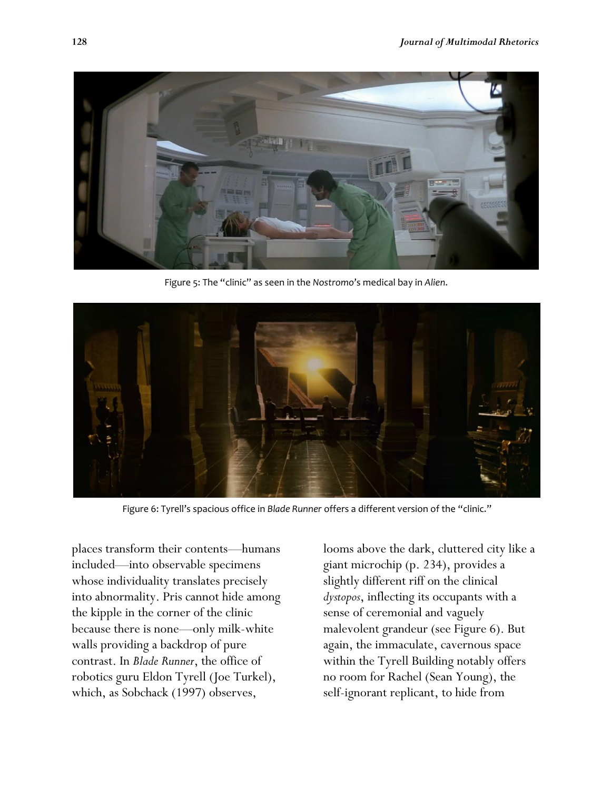

Figure 5: The "clinic" as seen in the *Nostromo*'s medical bay in *Alien*.



Figure 6: Tyrell's spacious office in *Blade Runner* offers a different version of the "clinic."

places transform their contents—humans included—into observable specimens whose individuality translates precisely into abnormality. Pris cannot hide among the kipple in the corner of the clinic because there is none—only milk-white walls providing a backdrop of pure contrast. In *Blade Runner*, the office of robotics guru Eldon Tyrell (Joe Turkel), which, as Sobchack (1997) observes,

looms above the dark, cluttered city like a giant microchip (p. 234), provides a slightly different riff on the clinical *dystopos*, inflecting its occupants with a sense of ceremonial and vaguely malevolent grandeur (see Figure 6). But again, the immaculate, cavernous space within the Tyrell Building notably offers no room for Rachel (Sean Young), the self-ignorant replicant, to hide from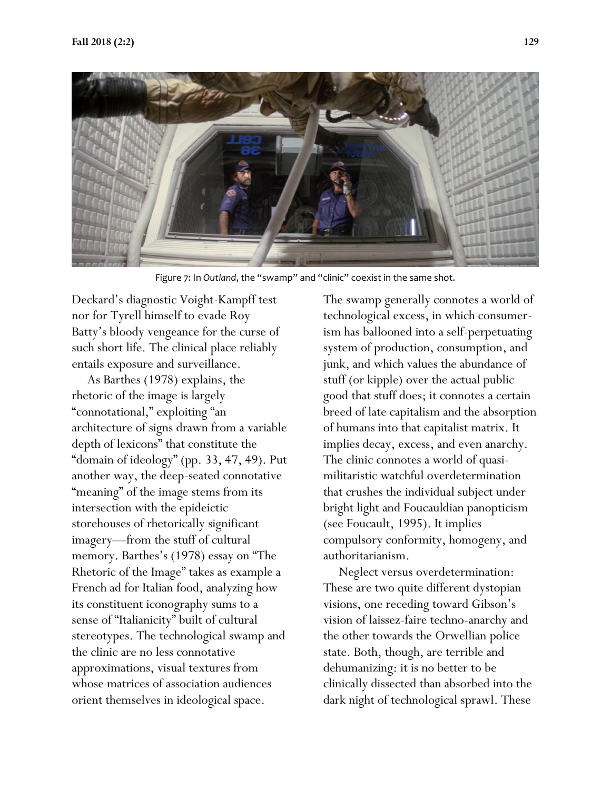

Figure 7: In *Outland*, the "swamp" and "clinic" coexist in the same shot.

Deckard's diagnostic Voight-Kampff test nor for Tyrell himself to evade Roy Batty's bloody vengeance for the curse of such short life. The clinical place reliably entails exposure and surveillance.

 As Barthes (1978) explains, the rhetoric of the image is largely "connotational," exploiting "an architecture of signs drawn from a variable depth of lexicons" that constitute the "domain of ideology" (pp. 33, 47, 49). Put another way, the deep-seated connotative "meaning" of the image stems from its intersection with the epideictic storehouses of rhetorically significant imagery—from the stuff of cultural memory. Barthes's (1978) essay on "The Rhetoric of the Image" takes as example a French ad for Italian food, analyzing how its constituent iconography sums to a sense of "Italianicity" built of cultural stereotypes. The technological swamp and the clinic are no less connotative approximations, visual textures from whose matrices of association audiences orient themselves in ideological space.

The swamp generally connotes a world of technological excess, in which consumerism has ballooned into a self-perpetuating system of production, consumption, and junk, and which values the abundance of stuff (or kipple) over the actual public good that stuff does; it connotes a certain breed of late capitalism and the absorption of humans into that capitalist matrix. It implies decay, excess, and even anarchy. The clinic connotes a world of quasimilitaristic watchful overdetermination that crushes the individual subject under bright light and Foucauldian panopticism (see Foucault, 1995). It implies compulsory conformity, homogeny, and authoritarianism.

 Neglect versus overdetermination: These are two quite different dystopian visions, one receding toward Gibson's vision of laissez-faire techno-anarchy and the other towards the Orwellian police state. Both, though, are terrible and dehumanizing: it is no better to be clinically dissected than absorbed into the dark night of technological sprawl. These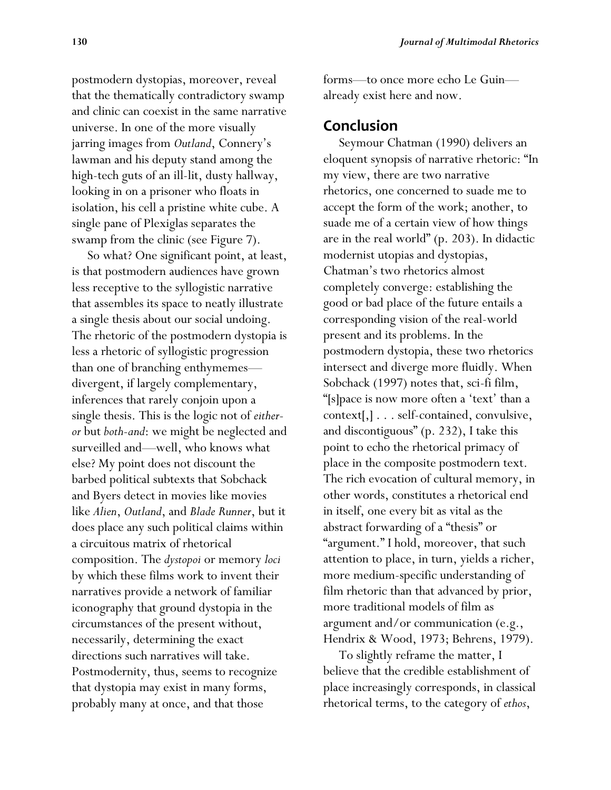postmodern dystopias, moreover, reveal that the thematically contradictory swamp and clinic can coexist in the same narrative universe. In one of the more visually jarring images from *Outland*, Connery's lawman and his deputy stand among the high-tech guts of an ill-lit, dusty hallway, looking in on a prisoner who floats in isolation, his cell a pristine white cube. A single pane of Plexiglas separates the swamp from the clinic (see Figure 7).

 So what? One significant point, at least, is that postmodern audiences have grown less receptive to the syllogistic narrative that assembles its space to neatly illustrate a single thesis about our social undoing. The rhetoric of the postmodern dystopia is less a rhetoric of syllogistic progression than one of branching enthymemes divergent, if largely complementary, inferences that rarely conjoin upon a single thesis. This is the logic not of *eitheror* but *both-and*: we might be neglected and surveilled and—well, who knows what else? My point does not discount the barbed political subtexts that Sobchack and Byers detect in movies like movies like *Alien*, *Outland*, and *Blade Runner*, but it does place any such political claims within a circuitous matrix of rhetorical composition. The *dystopoi* or memory *loci*  by which these films work to invent their narratives provide a network of familiar iconography that ground dystopia in the circumstances of the present without, necessarily, determining the exact directions such narratives will take. Postmodernity, thus, seems to recognize that dystopia may exist in many forms, probably many at once, and that those

forms—to once more echo Le Guin already exist here and now.

### **Conclusion**

 Seymour Chatman (1990) delivers an eloquent synopsis of narrative rhetoric: "In my view, there are two narrative rhetorics, one concerned to suade me to accept the form of the work; another, to suade me of a certain view of how things are in the real world" (p. 203). In didactic modernist utopias and dystopias, Chatman's two rhetorics almost completely converge: establishing the good or bad place of the future entails a corresponding vision of the real-world present and its problems. In the postmodern dystopia, these two rhetorics intersect and diverge more fluidly. When Sobchack (1997) notes that, sci-fi film, "[s]pace is now more often a 'text' than a context[,] . . . self-contained, convulsive, and discontiguous" (p. 232), I take this point to echo the rhetorical primacy of place in the composite postmodern text. The rich evocation of cultural memory, in other words, constitutes a rhetorical end in itself, one every bit as vital as the abstract forwarding of a "thesis" or "argument." I hold, moreover, that such attention to place, in turn, yields a richer, more medium-specific understanding of film rhetoric than that advanced by prior, more traditional models of film as argument and/or communication (e.g., Hendrix & Wood, 1973; Behrens, 1979).

 To slightly reframe the matter, I believe that the credible establishment of place increasingly corresponds, in classical rhetorical terms, to the category of *ethos*,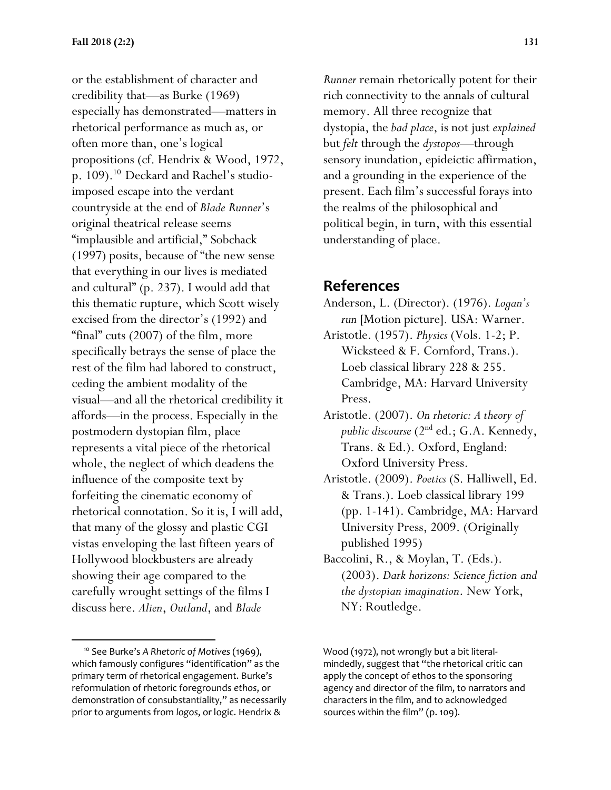or the establishment of character and credibility that—as Burke (1969) especially has demonstrated—matters in rhetorical performance as much as, or often more than, one's logical propositions (cf. Hendrix & Wood, 1972, p. 109).<sup>10</sup> Deckard and Rachel's studioimposed escape into the verdant countryside at the end of *Blade Runner*'s original theatrical release seems "implausible and artificial," Sobchack (1997) posits, because of "the new sense that everything in our lives is mediated and cultural" (p. 237). I would add that this thematic rupture, which Scott wisely excised from the director's (1992) and "final" cuts (2007) of the film, more specifically betrays the sense of place the rest of the film had labored to construct, ceding the ambient modality of the visual—and all the rhetorical credibility it affords—in the process. Especially in the postmodern dystopian film, place represents a vital piece of the rhetorical whole, the neglect of which deadens the influence of the composite text by forfeiting the cinematic economy of rhetorical connotation. So it is, I will add, that many of the glossy and plastic CGI vistas enveloping the last fifteen years of Hollywood blockbusters are already showing their age compared to the carefully wrought settings of the films I discuss here. *Alien*, *Outland*, and *Blade* 

l

*Runner* remain rhetorically potent for their rich connectivity to the annals of cultural memory. All three recognize that dystopia, the *bad place*, is not just *explained* but *felt* through the *dystopos*—through sensory inundation, epideictic affirmation, and a grounding in the experience of the present. Each film's successful forays into the realms of the philosophical and political begin, in turn, with this essential understanding of place.

## **References**

- Anderson, L. (Director). (1976). *Logan's run* [Motion picture]. USA: Warner.
- Aristotle. (1957). *Physics* (Vols. 1-2; P. Wicksteed & F. Cornford, Trans.). Loeb classical library 228 & 255. Cambridge, MA: Harvard University Press.
- Aristotle. (2007). *On rhetoric: A theory of public discourse* (2nd ed.; G.A. Kennedy, Trans. & Ed.). Oxford, England: Oxford University Press.
- Aristotle. (2009). *Poetics* (S. Halliwell, Ed. & Trans.). Loeb classical library 199 (pp. 1-141). Cambridge, MA: Harvard University Press, 2009. (Originally published 1995)
- Baccolini, R., & Moylan, T. (Eds.). (2003). *Dark horizons: Science fiction and the dystopian imagination*. New York, NY: Routledge.

<sup>&</sup>lt;sup>10</sup> See Burke's A Rhetoric of Motives (1969), which famously configures "identification" as the primary term of rhetorical engagement. Burke's reformulation of rhetoric foregrounds *ethos*, or demonstration of consubstantiality," as necessarily prior to arguments from *logos*, or logic. Hendrix &

Wood (1972), not wrongly but a bit literalmindedly, suggest that "the rhetorical critic can apply the concept of ethos to the sponsoring agency and director of the film, to narrators and characters in the film, and to acknowledged sources within the film" (p. 109).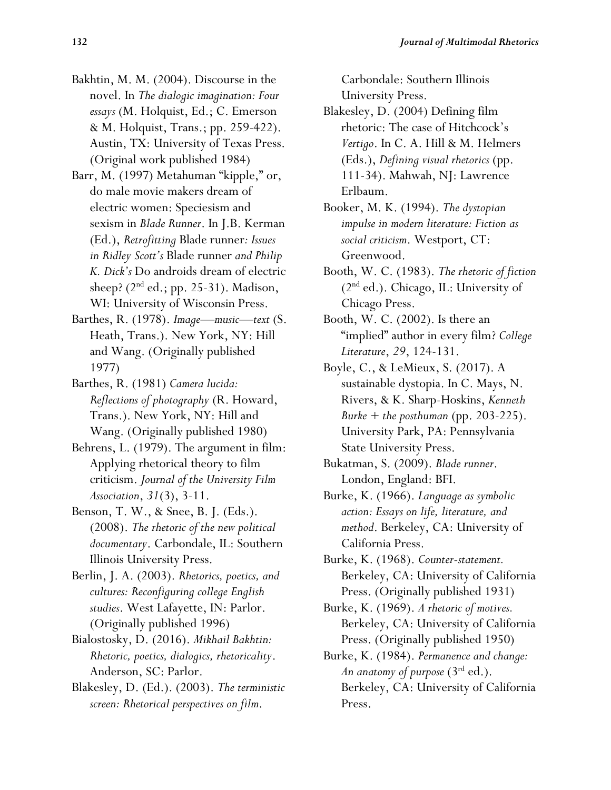- Bakhtin, M. M. (2004). Discourse in the novel. In *The dialogic imagination: Four essays* (M. Holquist, Ed.; C. Emerson & M. Holquist, Trans.; pp. 259-422). Austin, TX: University of Texas Press. (Original work published 1984)
- Barr, M. (1997) Metahuman "kipple," or, do male movie makers dream of electric women: Speciesism and sexism in *Blade Runner*. In J.B. Kerman (Ed.), *Retrofitting* Blade runner*: Issues in Ridley Scott's* Blade runner *and Philip K. Dick's* Do androids dream of electric sheep?  $(2<sup>nd</sup> ed.; pp. 25-31)$ . Madison, WI: University of Wisconsin Press.
- Barthes, R. (1978). *Image—music—text* (S. Heath, Trans.). New York, NY: Hill and Wang. (Originally published 1977)
- Barthes, R. (1981) *Camera lucida: Reflections of photography* (R. Howard, Trans.). New York, NY: Hill and Wang. (Originally published 1980)
- Behrens, L. (1979). The argument in film: Applying rhetorical theory to film criticism. *Journal of the University Film Association*, *31*(3), 3-11.
- Benson, T. W., & Snee, B. J. (Eds.). (2008). *The rhetoric of the new political documentary*. Carbondale, IL: Southern Illinois University Press.
- Berlin, J. A. (2003). *Rhetorics, poetics, and cultures: Reconfiguring college English studies*. West Lafayette, IN: Parlor. (Originally published 1996)
- Bialostosky, D. (2016). *Mikhail Bakhtin: Rhetoric, poetics, dialogics, rhetoricality*. Anderson, SC: Parlor.
- Blakesley, D. (Ed.). (2003). *The terministic screen: Rhetorical perspectives on film*.

Carbondale: Southern Illinois University Press.

- Blakesley, D. (2004) Defining film rhetoric: The case of Hitchcock's *Vertigo*. In C. A. Hill & M. Helmers (Eds.), *Defining visual rhetorics* (pp. 111-34). Mahwah, NJ: Lawrence Erlbaum.
- Booker, M. K. (1994). *The dystopian impulse in modern literature: Fiction as social criticism*. Westport, CT: Greenwood.
- Booth, W. C. (1983). *The rhetoric of fiction*  $(2<sup>nd</sup> ed.)$ . Chicago, IL: University of Chicago Press.
- Booth, W. C. (2002). Is there an "implied" author in every film? *College Literature*, *29*, 124-131.
- Boyle, C., & LeMieux, S. (2017). A sustainable dystopia. In C. Mays, N. Rivers, & K. Sharp-Hoskins, *Kenneth Burke + the posthuman* (pp. 203-225). University Park, PA: Pennsylvania State University Press.
- Bukatman, S. (2009). *Blade runner*. London, England: BFI.
- Burke, K. (1966). *Language as symbolic action: Essays on life, literature, and method*. Berkeley, CA: University of California Press.
- Burke, K. (1968). *Counter-statement.*  Berkeley, CA: University of California Press. (Originally published 1931)
- Burke, K. (1969). *A rhetoric of motives.*  Berkeley, CA: University of California Press. (Originally published 1950)
- Burke, K. (1984). *Permanence and change: An anatomy of purpose* (3rd ed.). Berkeley, CA: University of California Press.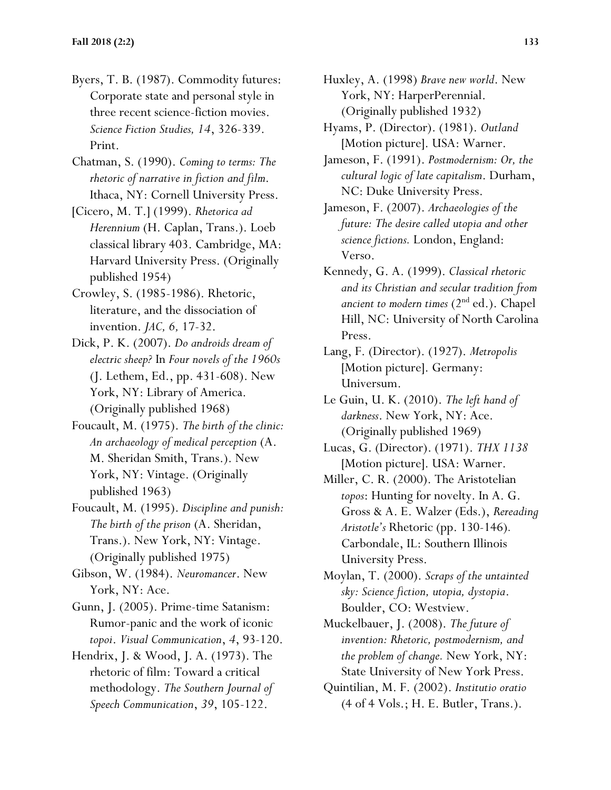- Byers, T. B. (1987). Commodity futures: Corporate state and personal style in three recent science-fiction movies. *Science Fiction Studies, 14*, 326-339. Print.
- Chatman, S. (1990). *Coming to terms: The rhetoric of narrative in fiction and film*. Ithaca, NY: Cornell University Press.
- [Cicero, M. T.] (1999). *Rhetorica ad Herennium* (H. Caplan, Trans.). Loeb classical library 403. Cambridge, MA: Harvard University Press. (Originally published 1954)
- Crowley, S. (1985-1986). Rhetoric, literature, and the dissociation of invention. *JAC, 6,* 17-32.
- Dick, P. K. (2007). *Do androids dream of electric sheep?* In *Four novels of the 1960s* (J. Lethem, Ed., pp. 431-608). New York, NY: Library of America. (Originally published 1968)
- Foucault, M. (1975). *The birth of the clinic: An archaeology of medical perception* (A. M. Sheridan Smith, Trans.). New York, NY: Vintage. (Originally published 1963)
- Foucault, M. (1995). *Discipline and punish: The birth of the prison* (A. Sheridan, Trans.). New York, NY: Vintage. (Originally published 1975)
- Gibson, W. (1984). *Neuromancer*. New York, NY: Ace.
- Gunn, J. (2005). Prime-time Satanism: Rumor-panic and the work of iconic *topoi*. *Visual Communication*, *4*, 93-120.
- Hendrix, J. & Wood, J. A. (1973). The rhetoric of film: Toward a critical methodology. *The Southern Journal of Speech Communication*, *39*, 105-122.
- Huxley, A. (1998) *Brave new world*. New York, NY: HarperPerennial. (Originally published 1932)
- Hyams, P. (Director). (1981). *Outland* [Motion picture]. USA: Warner.
- Jameson, F. (1991). *Postmodernism: Or, the cultural logic of late capitalism*. Durham, NC: Duke University Press.
- Jameson, F. (2007). *Archaeologies of the future: The desire called utopia and other science fictions.* London, England: Verso.
- Kennedy, G. A. (1999). *Classical rhetoric and its Christian and secular tradition from ancient to modern times* (2<sup>nd</sup> ed.). Chapel Hill, NC: University of North Carolina Press.
- Lang, F. (Director). (1927). *Metropolis* [Motion picture]. Germany: Universum.
- Le Guin, U. K. (2010). *The left hand of darkness*. New York, NY: Ace. (Originally published 1969)
- Lucas, G. (Director). (1971). *THX 1138* [Motion picture]. USA: Warner.
- Miller, C. R. (2000). The Aristotelian *topos*: Hunting for novelty. In A. G. Gross & A. E. Walzer (Eds.), *Rereading Aristotle's* Rhetoric (pp. 130-146)*.*  Carbondale, IL: Southern Illinois University Press.
- Moylan, T. (2000). *Scraps of the untainted sky: Science fiction, utopia, dystopia*. Boulder, CO: Westview.
- Muckelbauer, J. (2008). *The future of invention: Rhetoric, postmodernism, and the problem of change.* New York, NY: State University of New York Press.
- Quintilian, M. F. (2002). *Institutio oratio* (4 of 4 Vols.; H. E. Butler, Trans.).